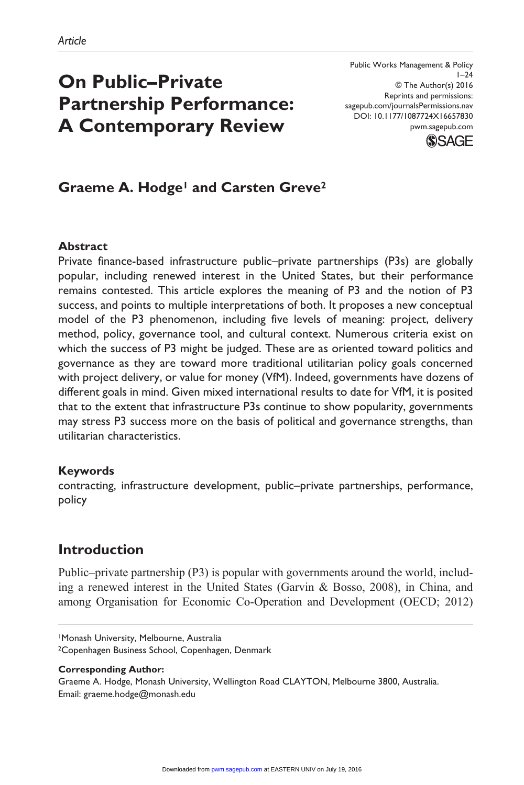# **On Public–Private Partnership Performance: A Contemporary Review**

Public Works Management & Policy  $1 - 24$ © The Author(s) 2016 Reprints and permissions: sagepub.com/journalsPermissions.nav DOI: 10.1177/1087724X16657830 pwm.sagepub.com



# Graeme A. Hodge<sup>1</sup> and Carsten Greve<sup>2</sup>

#### **Abstract**

Private finance-based infrastructure public–private partnerships (P3s) are globally popular, including renewed interest in the United States, but their performance remains contested. This article explores the meaning of P3 and the notion of P3 success, and points to multiple interpretations of both. It proposes a new conceptual model of the P3 phenomenon, including five levels of meaning: project, delivery method, policy, governance tool, and cultural context. Numerous criteria exist on which the success of P3 might be judged. These are as oriented toward politics and governance as they are toward more traditional utilitarian policy goals concerned with project delivery, or value for money (VfM). Indeed, governments have dozens of different goals in mind. Given mixed international results to date for VfM, it is posited that to the extent that infrastructure P3s continue to show popularity, governments may stress P3 success more on the basis of political and governance strengths, than utilitarian characteristics.

## **Keywords**

contracting, infrastructure development, public–private partnerships, performance, policy

# **Introduction**

Public–private partnership (P3) is popular with governments around the world, including a renewed interest in the United States (Garvin & Bosso, 2008), in China, and among Organisation for Economic Co-Operation and Development (OECD; 2012)

**Corresponding Author:** Graeme A. Hodge, Monash University, Wellington Road CLAYTON, Melbourne 3800, Australia. Email: graeme.hodge@monash.edu

<sup>1</sup>Monash University, Melbourne, Australia 2Copenhagen Business School, Copenhagen, Denmark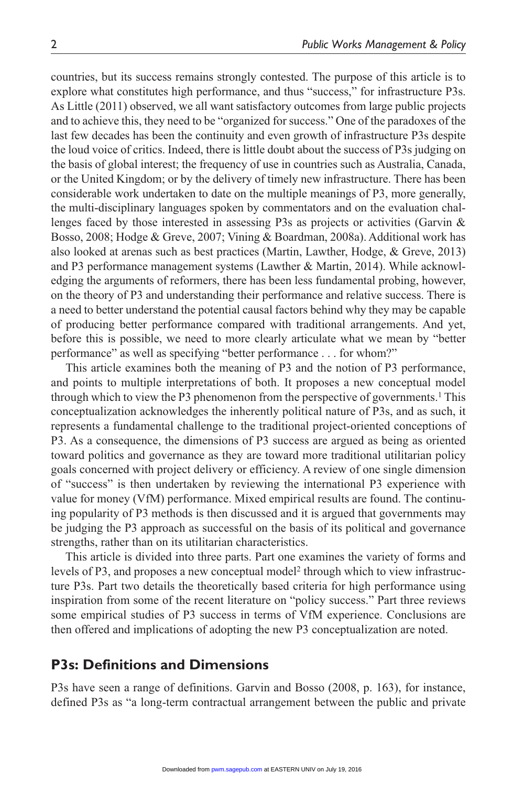countries, but its success remains strongly contested. The purpose of this article is to explore what constitutes high performance, and thus "success," for infrastructure P3s. As Little (2011) observed, we all want satisfactory outcomes from large public projects and to achieve this, they need to be "organized for success." One of the paradoxes of the last few decades has been the continuity and even growth of infrastructure P3s despite the loud voice of critics. Indeed, there is little doubt about the success of P3s judging on the basis of global interest; the frequency of use in countries such as Australia, Canada, or the United Kingdom; or by the delivery of timely new infrastructure. There has been considerable work undertaken to date on the multiple meanings of P3, more generally, the multi-disciplinary languages spoken by commentators and on the evaluation challenges faced by those interested in assessing P3s as projects or activities (Garvin & Bosso, 2008; Hodge & Greve, 2007; Vining & Boardman, 2008a). Additional work has also looked at arenas such as best practices (Martin, Lawther, Hodge, & Greve, 2013) and P3 performance management systems (Lawther & Martin, 2014). While acknowledging the arguments of reformers, there has been less fundamental probing, however, on the theory of P3 and understanding their performance and relative success. There is a need to better understand the potential causal factors behind why they may be capable of producing better performance compared with traditional arrangements. And yet, before this is possible, we need to more clearly articulate what we mean by "better performance" as well as specifying "better performance . . . for whom?"

This article examines both the meaning of P3 and the notion of P3 performance, and points to multiple interpretations of both. It proposes a new conceptual model through which to view the P3 phenomenon from the perspective of governments.1 This conceptualization acknowledges the inherently political nature of P3s, and as such, it represents a fundamental challenge to the traditional project-oriented conceptions of P3. As a consequence, the dimensions of P3 success are argued as being as oriented toward politics and governance as they are toward more traditional utilitarian policy goals concerned with project delivery or efficiency. A review of one single dimension of "success" is then undertaken by reviewing the international P3 experience with value for money (VfM) performance. Mixed empirical results are found. The continuing popularity of P3 methods is then discussed and it is argued that governments may be judging the P3 approach as successful on the basis of its political and governance strengths, rather than on its utilitarian characteristics.

This article is divided into three parts. Part one examines the variety of forms and levels of P3, and proposes a new conceptual model<sup>2</sup> through which to view infrastructure P3s. Part two details the theoretically based criteria for high performance using inspiration from some of the recent literature on "policy success." Part three reviews some empirical studies of P3 success in terms of VfM experience. Conclusions are then offered and implications of adopting the new P3 conceptualization are noted.

## **P3s: Definitions and Dimensions**

P3s have seen a range of definitions. Garvin and Bosso (2008, p. 163), for instance, defined P3s as "a long-term contractual arrangement between the public and private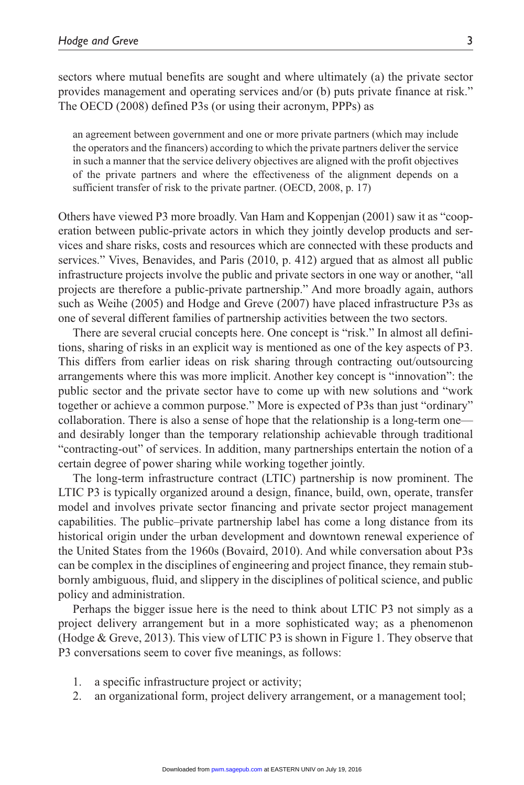sectors where mutual benefits are sought and where ultimately (a) the private sector provides management and operating services and/or (b) puts private finance at risk." The OECD (2008) defined P3s (or using their acronym, PPPs) as

an agreement between government and one or more private partners (which may include the operators and the financers) according to which the private partners deliver the service in such a manner that the service delivery objectives are aligned with the profit objectives of the private partners and where the effectiveness of the alignment depends on a sufficient transfer of risk to the private partner. (OECD, 2008, p. 17)

Others have viewed P3 more broadly. Van Ham and Koppenjan (2001) saw it as "cooperation between public-private actors in which they jointly develop products and services and share risks, costs and resources which are connected with these products and services." Vives, Benavides, and Paris (2010, p. 412) argued that as almost all public infrastructure projects involve the public and private sectors in one way or another, "all projects are therefore a public-private partnership." And more broadly again, authors such as Weihe (2005) and Hodge and Greve (2007) have placed infrastructure P3s as one of several different families of partnership activities between the two sectors.

There are several crucial concepts here. One concept is "risk." In almost all definitions, sharing of risks in an explicit way is mentioned as one of the key aspects of P3. This differs from earlier ideas on risk sharing through contracting out/outsourcing arrangements where this was more implicit. Another key concept is "innovation": the public sector and the private sector have to come up with new solutions and "work together or achieve a common purpose." More is expected of P3s than just "ordinary" collaboration. There is also a sense of hope that the relationship is a long-term one and desirably longer than the temporary relationship achievable through traditional "contracting-out" of services. In addition, many partnerships entertain the notion of a certain degree of power sharing while working together jointly.

The long-term infrastructure contract (LTIC) partnership is now prominent. The LTIC P3 is typically organized around a design, finance, build, own, operate, transfer model and involves private sector financing and private sector project management capabilities. The public–private partnership label has come a long distance from its historical origin under the urban development and downtown renewal experience of the United States from the 1960s (Bovaird, 2010). And while conversation about P3s can be complex in the disciplines of engineering and project finance, they remain stubbornly ambiguous, fluid, and slippery in the disciplines of political science, and public policy and administration.

Perhaps the bigger issue here is the need to think about LTIC P3 not simply as a project delivery arrangement but in a more sophisticated way; as a phenomenon (Hodge & Greve, 2013). This view of LTIC P3 is shown in Figure 1. They observe that P3 conversations seem to cover five meanings, as follows:

- 1. a specific infrastructure project or activity;
- 2. an organizational form, project delivery arrangement, or a management tool;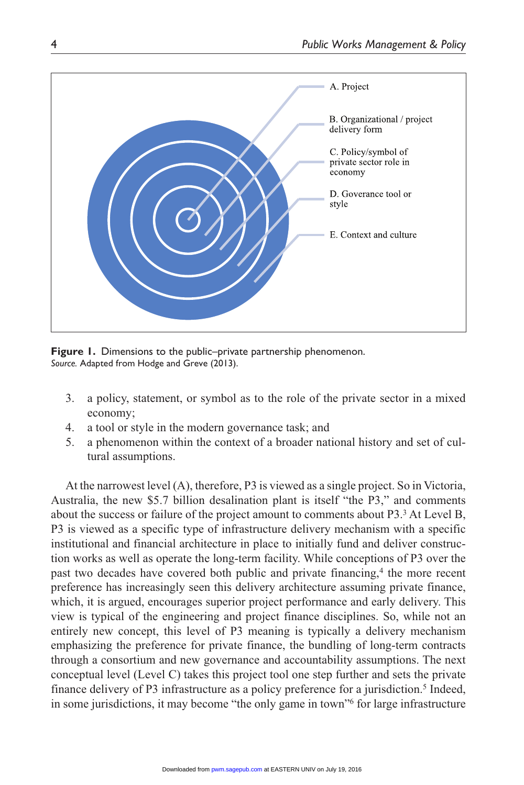

**Figure 1.** Dimensions to the public–private partnership phenomenon. *Source.* Adapted from Hodge and Greve (2013).

- 3. a policy, statement, or symbol as to the role of the private sector in a mixed economy;
- 4. a tool or style in the modern governance task; and
- 5. a phenomenon within the context of a broader national history and set of cultural assumptions.

At the narrowest level (A), therefore, P3 is viewed as a single project. So in Victoria, Australia, the new \$5.7 billion desalination plant is itself "the P3," and comments about the success or failure of the project amount to comments about P3.3 At Level B, P3 is viewed as a specific type of infrastructure delivery mechanism with a specific institutional and financial architecture in place to initially fund and deliver construction works as well as operate the long-term facility. While conceptions of P3 over the past two decades have covered both public and private financing,<sup>4</sup> the more recent preference has increasingly seen this delivery architecture assuming private finance, which, it is argued, encourages superior project performance and early delivery. This view is typical of the engineering and project finance disciplines. So, while not an entirely new concept, this level of P3 meaning is typically a delivery mechanism emphasizing the preference for private finance, the bundling of long-term contracts through a consortium and new governance and accountability assumptions. The next conceptual level (Level C) takes this project tool one step further and sets the private finance delivery of P3 infrastructure as a policy preference for a jurisdiction.5 Indeed, in some jurisdictions, it may become "the only game in town"6 for large infrastructure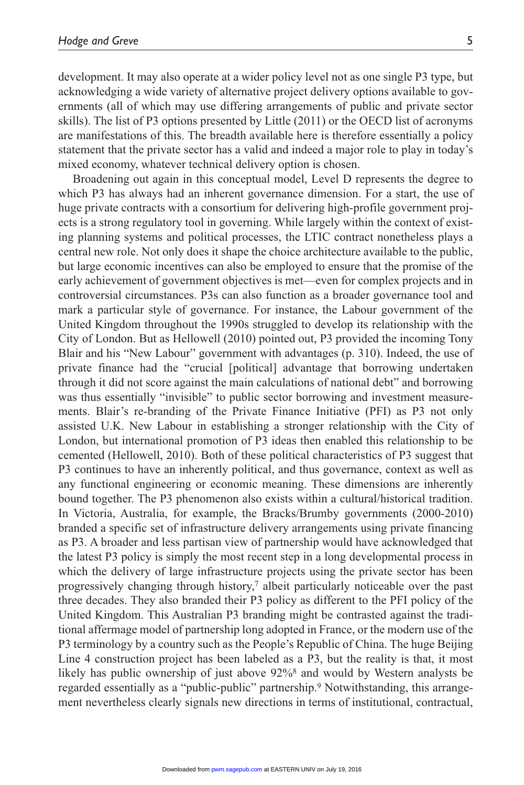development. It may also operate at a wider policy level not as one single P3 type, but acknowledging a wide variety of alternative project delivery options available to governments (all of which may use differing arrangements of public and private sector skills). The list of P3 options presented by Little (2011) or the OECD list of acronyms are manifestations of this. The breadth available here is therefore essentially a policy statement that the private sector has a valid and indeed a major role to play in today's mixed economy, whatever technical delivery option is chosen.

Broadening out again in this conceptual model, Level D represents the degree to which P3 has always had an inherent governance dimension. For a start, the use of huge private contracts with a consortium for delivering high-profile government projects is a strong regulatory tool in governing. While largely within the context of existing planning systems and political processes, the LTIC contract nonetheless plays a central new role. Not only does it shape the choice architecture available to the public, but large economic incentives can also be employed to ensure that the promise of the early achievement of government objectives is met—even for complex projects and in controversial circumstances. P3s can also function as a broader governance tool and mark a particular style of governance. For instance, the Labour government of the United Kingdom throughout the 1990s struggled to develop its relationship with the City of London. But as Hellowell (2010) pointed out, P3 provided the incoming Tony Blair and his "New Labour" government with advantages (p. 310). Indeed, the use of private finance had the "crucial [political] advantage that borrowing undertaken through it did not score against the main calculations of national debt" and borrowing was thus essentially "invisible" to public sector borrowing and investment measurements. Blair's re-branding of the Private Finance Initiative (PFI) as P3 not only assisted U.K. New Labour in establishing a stronger relationship with the City of London, but international promotion of P3 ideas then enabled this relationship to be cemented (Hellowell, 2010). Both of these political characteristics of P3 suggest that P3 continues to have an inherently political, and thus governance, context as well as any functional engineering or economic meaning. These dimensions are inherently bound together. The P3 phenomenon also exists within a cultural/historical tradition. In Victoria, Australia, for example, the Bracks/Brumby governments (2000-2010) branded a specific set of infrastructure delivery arrangements using private financing as P3. A broader and less partisan view of partnership would have acknowledged that the latest P3 policy is simply the most recent step in a long developmental process in which the delivery of large infrastructure projects using the private sector has been progressively changing through history, $\tau$  albeit particularly noticeable over the past three decades. They also branded their P3 policy as different to the PFI policy of the United Kingdom. This Australian P3 branding might be contrasted against the traditional affermage model of partnership long adopted in France, or the modern use of the P3 terminology by a country such as the People's Republic of China. The huge Beijing Line 4 construction project has been labeled as a P3, but the reality is that, it most likely has public ownership of just above 92%8 and would by Western analysts be regarded essentially as a "public-public" partnership.9 Notwithstanding, this arrangement nevertheless clearly signals new directions in terms of institutional, contractual,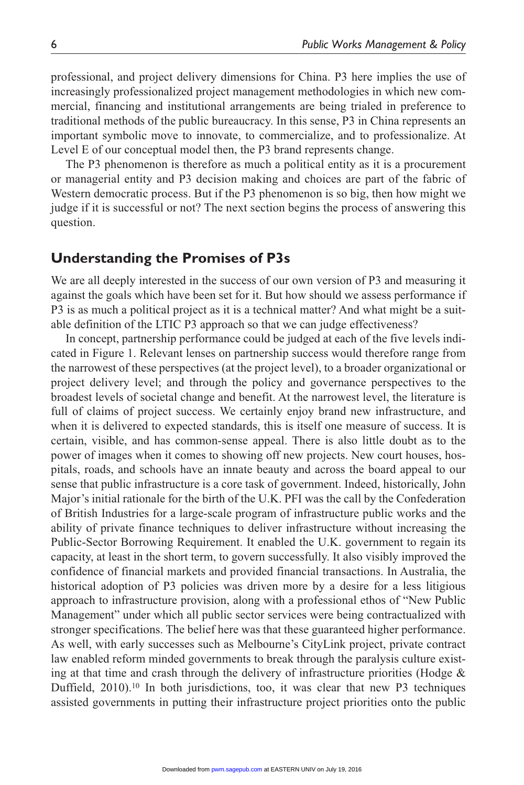professional, and project delivery dimensions for China. P3 here implies the use of increasingly professionalized project management methodologies in which new commercial, financing and institutional arrangements are being trialed in preference to traditional methods of the public bureaucracy. In this sense, P3 in China represents an important symbolic move to innovate, to commercialize, and to professionalize. At Level E of our conceptual model then, the P3 brand represents change.

The P3 phenomenon is therefore as much a political entity as it is a procurement or managerial entity and P3 decision making and choices are part of the fabric of Western democratic process. But if the P3 phenomenon is so big, then how might we judge if it is successful or not? The next section begins the process of answering this question.

## **Understanding the Promises of P3s**

We are all deeply interested in the success of our own version of P3 and measuring it against the goals which have been set for it. But how should we assess performance if P3 is as much a political project as it is a technical matter? And what might be a suitable definition of the LTIC P3 approach so that we can judge effectiveness?

In concept, partnership performance could be judged at each of the five levels indicated in Figure 1. Relevant lenses on partnership success would therefore range from the narrowest of these perspectives (at the project level), to a broader organizational or project delivery level; and through the policy and governance perspectives to the broadest levels of societal change and benefit. At the narrowest level, the literature is full of claims of project success. We certainly enjoy brand new infrastructure, and when it is delivered to expected standards, this is itself one measure of success. It is certain, visible, and has common-sense appeal. There is also little doubt as to the power of images when it comes to showing off new projects. New court houses, hospitals, roads, and schools have an innate beauty and across the board appeal to our sense that public infrastructure is a core task of government. Indeed, historically, John Major's initial rationale for the birth of the U.K. PFI was the call by the Confederation of British Industries for a large-scale program of infrastructure public works and the ability of private finance techniques to deliver infrastructure without increasing the Public-Sector Borrowing Requirement. It enabled the U.K. government to regain its capacity, at least in the short term, to govern successfully. It also visibly improved the confidence of financial markets and provided financial transactions. In Australia, the historical adoption of P3 policies was driven more by a desire for a less litigious approach to infrastructure provision, along with a professional ethos of "New Public Management" under which all public sector services were being contractualized with stronger specifications. The belief here was that these guaranteed higher performance. As well, with early successes such as Melbourne's CityLink project, private contract law enabled reform minded governments to break through the paralysis culture existing at that time and crash through the delivery of infrastructure priorities (Hodge & Duffield, 2010).<sup>10</sup> In both jurisdictions, too, it was clear that new P3 techniques assisted governments in putting their infrastructure project priorities onto the public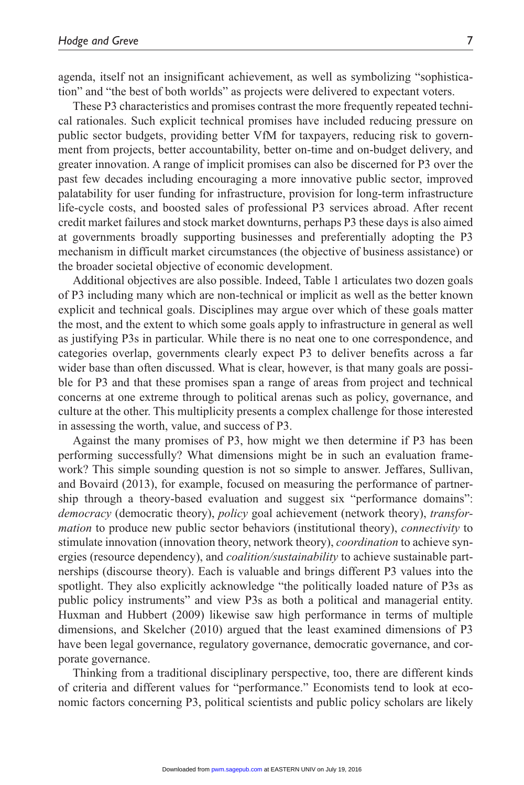agenda, itself not an insignificant achievement, as well as symbolizing "sophistication" and "the best of both worlds" as projects were delivered to expectant voters.

These P3 characteristics and promises contrast the more frequently repeated technical rationales. Such explicit technical promises have included reducing pressure on public sector budgets, providing better VfM for taxpayers, reducing risk to government from projects, better accountability, better on-time and on-budget delivery, and greater innovation. A range of implicit promises can also be discerned for P3 over the past few decades including encouraging a more innovative public sector, improved palatability for user funding for infrastructure, provision for long-term infrastructure life-cycle costs, and boosted sales of professional P3 services abroad. After recent credit market failures and stock market downturns, perhaps P3 these days is also aimed at governments broadly supporting businesses and preferentially adopting the P3 mechanism in difficult market circumstances (the objective of business assistance) or the broader societal objective of economic development.

Additional objectives are also possible. Indeed, Table 1 articulates two dozen goals of P3 including many which are non-technical or implicit as well as the better known explicit and technical goals. Disciplines may argue over which of these goals matter the most, and the extent to which some goals apply to infrastructure in general as well as justifying P3s in particular. While there is no neat one to one correspondence, and categories overlap, governments clearly expect P3 to deliver benefits across a far wider base than often discussed. What is clear, however, is that many goals are possible for P3 and that these promises span a range of areas from project and technical concerns at one extreme through to political arenas such as policy, governance, and culture at the other. This multiplicity presents a complex challenge for those interested in assessing the worth, value, and success of P3.

Against the many promises of P3, how might we then determine if P3 has been performing successfully? What dimensions might be in such an evaluation framework? This simple sounding question is not so simple to answer. Jeffares, Sullivan, and Bovaird (2013), for example, focused on measuring the performance of partnership through a theory-based evaluation and suggest six "performance domains": *democracy* (democratic theory), *policy* goal achievement (network theory), *transformation* to produce new public sector behaviors (institutional theory), *connectivity* to stimulate innovation (innovation theory, network theory), *coordination* to achieve synergies (resource dependency), and *coalition/sustainability* to achieve sustainable partnerships (discourse theory). Each is valuable and brings different P3 values into the spotlight. They also explicitly acknowledge "the politically loaded nature of P3s as public policy instruments" and view P3s as both a political and managerial entity. Huxman and Hubbert (2009) likewise saw high performance in terms of multiple dimensions, and Skelcher (2010) argued that the least examined dimensions of P3 have been legal governance, regulatory governance, democratic governance, and corporate governance.

Thinking from a traditional disciplinary perspective, too, there are different kinds of criteria and different values for "performance." Economists tend to look at economic factors concerning P3, political scientists and public policy scholars are likely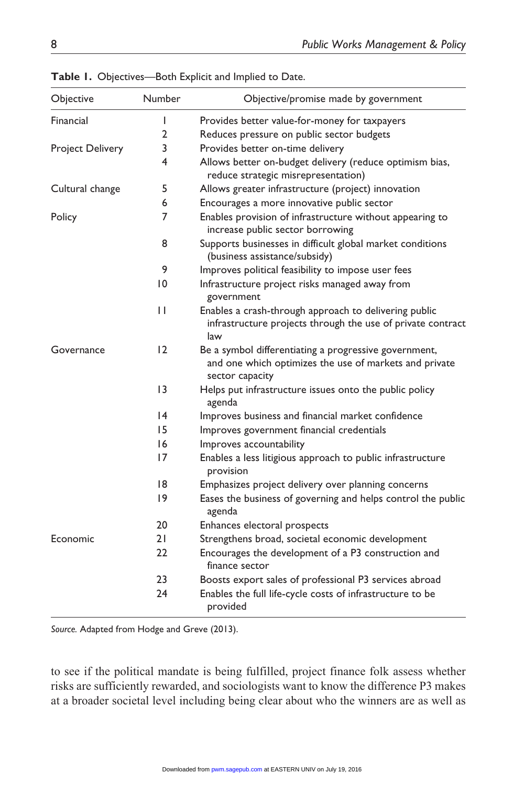| Objective        | <b>Number</b>   | Objective/promise made by government                                                                                               |
|------------------|-----------------|------------------------------------------------------------------------------------------------------------------------------------|
| Financial        | I               | Provides better value-for-money for taxpayers                                                                                      |
|                  | $\overline{2}$  | Reduces pressure on public sector budgets                                                                                          |
| Project Delivery | 3               | Provides better on-time delivery                                                                                                   |
|                  | 4               | Allows better on-budget delivery (reduce optimism bias,<br>reduce strategic misrepresentation)                                     |
| Cultural change  | 5               | Allows greater infrastructure (project) innovation                                                                                 |
|                  | 6               | Encourages a more innovative public sector                                                                                         |
| Policy           | 7               | Enables provision of infrastructure without appearing to<br>increase public sector borrowing                                       |
|                  | 8               | Supports businesses in difficult global market conditions<br>(business assistance/subsidy)                                         |
|                  | 9               | Improves political feasibility to impose user fees                                                                                 |
|                  | 10              | Infrastructure project risks managed away from<br>government                                                                       |
|                  | $\mathsf{I}$    | Enables a crash-through approach to delivering public<br>infrastructure projects through the use of private contract<br>law        |
| Governance       | 12              | Be a symbol differentiating a progressive government,<br>and one which optimizes the use of markets and private<br>sector capacity |
|                  | 3               | Helps put infrastructure issues onto the public policy<br>agenda                                                                   |
|                  | $\overline{14}$ | Improves business and financial market confidence                                                                                  |
|                  | 15              | Improves government financial credentials                                                                                          |
|                  | 16              | Improves accountability                                                                                                            |
|                  | 17              | Enables a less litigious approach to public infrastructure<br>provision                                                            |
|                  | 18              | Emphasizes project delivery over planning concerns                                                                                 |
|                  | 19              | Eases the business of governing and helps control the public<br>agenda                                                             |
|                  | 20              | Enhances electoral prospects                                                                                                       |
| Economic         | 21              | Strengthens broad, societal economic development                                                                                   |
|                  | 22              | Encourages the development of a P3 construction and<br>finance sector                                                              |
|                  | 23              | Boosts export sales of professional P3 services abroad                                                                             |
|                  | 24              | Enables the full life-cycle costs of infrastructure to be<br>provided                                                              |

**Table 1.** Objectives—Both Explicit and Implied to Date.

*Source.* Adapted from Hodge and Greve (2013).

to see if the political mandate is being fulfilled, project finance folk assess whether risks are sufficiently rewarded, and sociologists want to know the difference P3 makes at a broader societal level including being clear about who the winners are as well as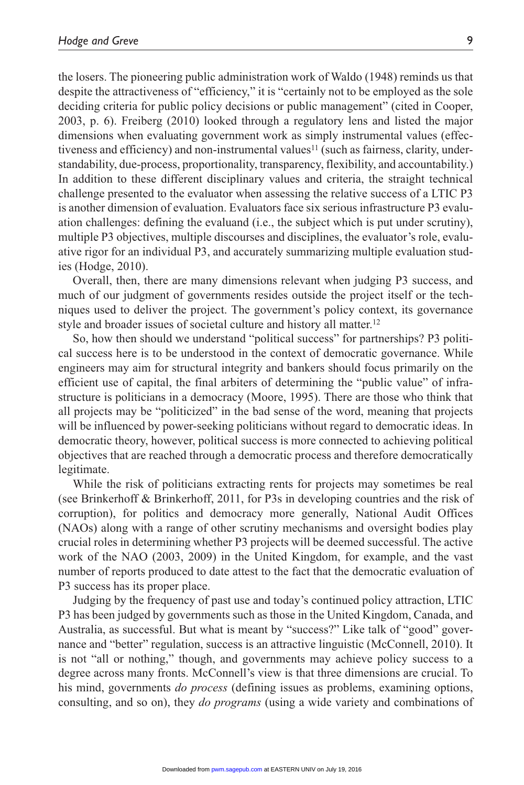the losers. The pioneering public administration work of Waldo (1948) reminds us that despite the attractiveness of "efficiency," it is "certainly not to be employed as the sole deciding criteria for public policy decisions or public management" (cited in Cooper, 2003, p. 6). Freiberg (2010) looked through a regulatory lens and listed the major dimensions when evaluating government work as simply instrumental values (effectiveness and efficiency) and non-instrumental values<sup>11</sup> (such as fairness, clarity, understandability, due-process, proportionality, transparency, flexibility, and accountability.) In addition to these different disciplinary values and criteria, the straight technical challenge presented to the evaluator when assessing the relative success of a LTIC P3 is another dimension of evaluation. Evaluators face six serious infrastructure P3 evaluation challenges: defining the evaluand (i.e., the subject which is put under scrutiny), multiple P3 objectives, multiple discourses and disciplines, the evaluator's role, evaluative rigor for an individual P3, and accurately summarizing multiple evaluation studies (Hodge, 2010).

Overall, then, there are many dimensions relevant when judging P3 success, and much of our judgment of governments resides outside the project itself or the techniques used to deliver the project. The government's policy context, its governance style and broader issues of societal culture and history all matter.12

So, how then should we understand "political success" for partnerships? P3 political success here is to be understood in the context of democratic governance. While engineers may aim for structural integrity and bankers should focus primarily on the efficient use of capital, the final arbiters of determining the "public value" of infrastructure is politicians in a democracy (Moore, 1995). There are those who think that all projects may be "politicized" in the bad sense of the word, meaning that projects will be influenced by power-seeking politicians without regard to democratic ideas. In democratic theory, however, political success is more connected to achieving political objectives that are reached through a democratic process and therefore democratically legitimate.

While the risk of politicians extracting rents for projects may sometimes be real (see Brinkerhoff & Brinkerhoff, 2011, for P3s in developing countries and the risk of corruption), for politics and democracy more generally, National Audit Offices (NAOs) along with a range of other scrutiny mechanisms and oversight bodies play crucial roles in determining whether P3 projects will be deemed successful. The active work of the NAO (2003, 2009) in the United Kingdom, for example, and the vast number of reports produced to date attest to the fact that the democratic evaluation of P3 success has its proper place.

Judging by the frequency of past use and today's continued policy attraction, LTIC P3 has been judged by governments such as those in the United Kingdom, Canada, and Australia, as successful. But what is meant by "success?" Like talk of "good" governance and "better" regulation, success is an attractive linguistic (McConnell, 2010). It is not "all or nothing," though, and governments may achieve policy success to a degree across many fronts. McConnell's view is that three dimensions are crucial. To his mind, governments *do process* (defining issues as problems, examining options, consulting, and so on), they *do programs* (using a wide variety and combinations of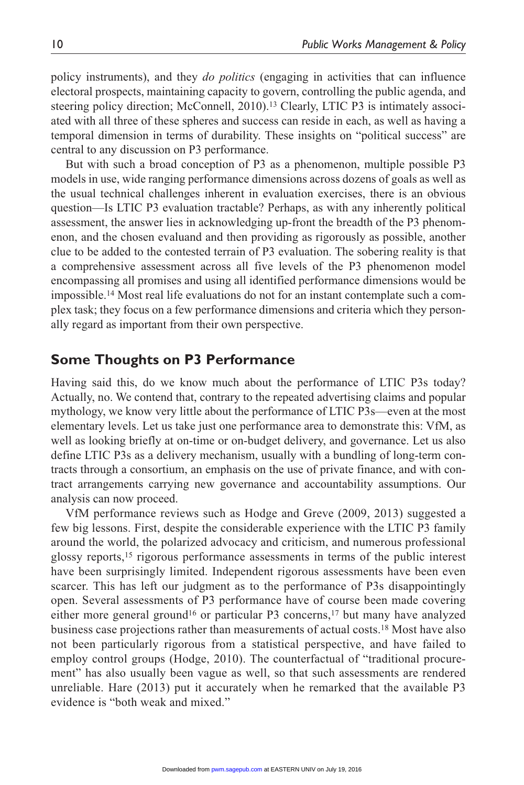policy instruments), and they *do politics* (engaging in activities that can influence electoral prospects, maintaining capacity to govern, controlling the public agenda, and steering policy direction; McConnell, 2010).<sup>13</sup> Clearly, LTIC P3 is intimately associated with all three of these spheres and success can reside in each, as well as having a temporal dimension in terms of durability. These insights on "political success" are central to any discussion on P3 performance.

But with such a broad conception of P3 as a phenomenon, multiple possible P3 models in use, wide ranging performance dimensions across dozens of goals as well as the usual technical challenges inherent in evaluation exercises, there is an obvious question—Is LTIC P3 evaluation tractable? Perhaps, as with any inherently political assessment, the answer lies in acknowledging up-front the breadth of the P3 phenomenon, and the chosen evaluand and then providing as rigorously as possible, another clue to be added to the contested terrain of P3 evaluation. The sobering reality is that a comprehensive assessment across all five levels of the P3 phenomenon model encompassing all promises and using all identified performance dimensions would be impossible.14 Most real life evaluations do not for an instant contemplate such a complex task; they focus on a few performance dimensions and criteria which they personally regard as important from their own perspective.

## **Some Thoughts on P3 Performance**

Having said this, do we know much about the performance of LTIC P3s today? Actually, no. We contend that, contrary to the repeated advertising claims and popular mythology, we know very little about the performance of LTIC P3s—even at the most elementary levels. Let us take just one performance area to demonstrate this: VfM, as well as looking briefly at on-time or on-budget delivery, and governance. Let us also define LTIC P3s as a delivery mechanism, usually with a bundling of long-term contracts through a consortium, an emphasis on the use of private finance, and with contract arrangements carrying new governance and accountability assumptions. Our analysis can now proceed.

VfM performance reviews such as Hodge and Greve (2009, 2013) suggested a few big lessons. First, despite the considerable experience with the LTIC P3 family around the world, the polarized advocacy and criticism, and numerous professional glossy reports,15 rigorous performance assessments in terms of the public interest have been surprisingly limited. Independent rigorous assessments have been even scarcer. This has left our judgment as to the performance of P3s disappointingly open. Several assessments of P3 performance have of course been made covering either more general ground<sup>16</sup> or particular P3 concerns,<sup>17</sup> but many have analyzed business case projections rather than measurements of actual costs.18 Most have also not been particularly rigorous from a statistical perspective, and have failed to employ control groups (Hodge, 2010). The counterfactual of "traditional procurement" has also usually been vague as well, so that such assessments are rendered unreliable. Hare (2013) put it accurately when he remarked that the available P3 evidence is "both weak and mixed."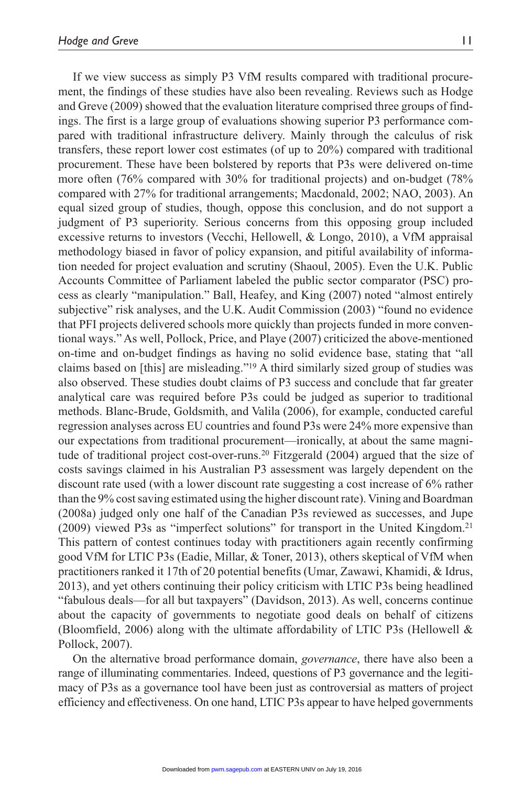If we view success as simply P3 VfM results compared with traditional procurement, the findings of these studies have also been revealing. Reviews such as Hodge and Greve (2009) showed that the evaluation literature comprised three groups of findings. The first is a large group of evaluations showing superior P3 performance compared with traditional infrastructure delivery. Mainly through the calculus of risk transfers, these report lower cost estimates (of up to 20%) compared with traditional procurement. These have been bolstered by reports that P3s were delivered on-time more often (76% compared with 30% for traditional projects) and on-budget (78% compared with 27% for traditional arrangements; Macdonald, 2002; NAO, 2003). An equal sized group of studies, though, oppose this conclusion, and do not support a judgment of P3 superiority. Serious concerns from this opposing group included excessive returns to investors (Vecchi, Hellowell, & Longo, 2010), a VfM appraisal methodology biased in favor of policy expansion, and pitiful availability of information needed for project evaluation and scrutiny (Shaoul, 2005). Even the U.K. Public Accounts Committee of Parliament labeled the public sector comparator (PSC) process as clearly "manipulation." Ball, Heafey, and King (2007) noted "almost entirely subjective" risk analyses, and the U.K. Audit Commission (2003) "found no evidence that PFI projects delivered schools more quickly than projects funded in more conventional ways." As well, Pollock, Price, and Playe (2007) criticized the above-mentioned on-time and on-budget findings as having no solid evidence base, stating that "all claims based on [this] are misleading."19 A third similarly sized group of studies was also observed. These studies doubt claims of P3 success and conclude that far greater analytical care was required before P3s could be judged as superior to traditional methods. Blanc-Brude, Goldsmith, and Valila (2006), for example, conducted careful regression analyses across EU countries and found P3s were 24% more expensive than our expectations from traditional procurement—ironically, at about the same magnitude of traditional project cost-over-runs.20 Fitzgerald (2004) argued that the size of costs savings claimed in his Australian P3 assessment was largely dependent on the discount rate used (with a lower discount rate suggesting a cost increase of 6% rather than the 9% cost saving estimated using the higher discount rate). Vining and Boardman (2008a) judged only one half of the Canadian P3s reviewed as successes, and Jupe (2009) viewed P3s as "imperfect solutions" for transport in the United Kingdom.21 This pattern of contest continues today with practitioners again recently confirming good VfM for LTIC P3s (Eadie, Millar, & Toner, 2013), others skeptical of VfM when practitioners ranked it 17th of 20 potential benefits (Umar, Zawawi, Khamidi, & Idrus, 2013), and yet others continuing their policy criticism with LTIC P3s being headlined "fabulous deals—for all but taxpayers" (Davidson, 2013). As well, concerns continue about the capacity of governments to negotiate good deals on behalf of citizens (Bloomfield, 2006) along with the ultimate affordability of LTIC P3s (Hellowell & Pollock, 2007).

On the alternative broad performance domain, *governance*, there have also been a range of illuminating commentaries. Indeed, questions of P3 governance and the legitimacy of P3s as a governance tool have been just as controversial as matters of project efficiency and effectiveness. On one hand, LTIC P3s appear to have helped governments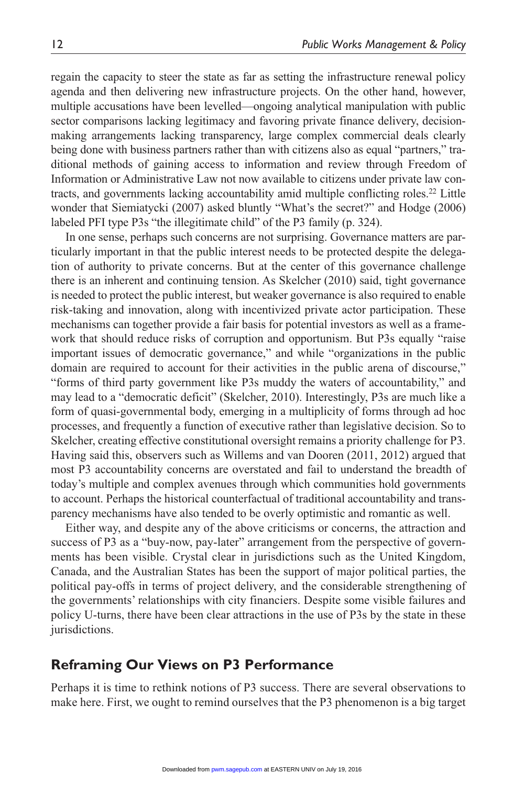regain the capacity to steer the state as far as setting the infrastructure renewal policy agenda and then delivering new infrastructure projects. On the other hand, however, multiple accusations have been levelled—ongoing analytical manipulation with public sector comparisons lacking legitimacy and favoring private finance delivery, decisionmaking arrangements lacking transparency, large complex commercial deals clearly being done with business partners rather than with citizens also as equal "partners," traditional methods of gaining access to information and review through Freedom of Information or Administrative Law not now available to citizens under private law contracts, and governments lacking accountability amid multiple conflicting roles.22 Little wonder that Siemiatycki (2007) asked bluntly "What's the secret?" and Hodge (2006) labeled PFI type P3s "the illegitimate child" of the P3 family (p. 324).

In one sense, perhaps such concerns are not surprising. Governance matters are particularly important in that the public interest needs to be protected despite the delegation of authority to private concerns. But at the center of this governance challenge there is an inherent and continuing tension. As Skelcher (2010) said, tight governance is needed to protect the public interest, but weaker governance is also required to enable risk-taking and innovation, along with incentivized private actor participation. These mechanisms can together provide a fair basis for potential investors as well as a framework that should reduce risks of corruption and opportunism. But P3s equally "raise important issues of democratic governance," and while "organizations in the public domain are required to account for their activities in the public arena of discourse," "forms of third party government like P3s muddy the waters of accountability," and may lead to a "democratic deficit" (Skelcher, 2010). Interestingly, P3s are much like a form of quasi-governmental body, emerging in a multiplicity of forms through ad hoc processes, and frequently a function of executive rather than legislative decision. So to Skelcher, creating effective constitutional oversight remains a priority challenge for P3. Having said this, observers such as Willems and van Dooren (2011, 2012) argued that most P3 accountability concerns are overstated and fail to understand the breadth of today's multiple and complex avenues through which communities hold governments to account. Perhaps the historical counterfactual of traditional accountability and transparency mechanisms have also tended to be overly optimistic and romantic as well.

Either way, and despite any of the above criticisms or concerns, the attraction and success of P3 as a "buy-now, pay-later" arrangement from the perspective of governments has been visible. Crystal clear in jurisdictions such as the United Kingdom, Canada, and the Australian States has been the support of major political parties, the political pay-offs in terms of project delivery, and the considerable strengthening of the governments' relationships with city financiers. Despite some visible failures and policy U-turns, there have been clear attractions in the use of P3s by the state in these jurisdictions.

## **Reframing Our Views on P3 Performance**

Perhaps it is time to rethink notions of P3 success. There are several observations to make here. First, we ought to remind ourselves that the P3 phenomenon is a big target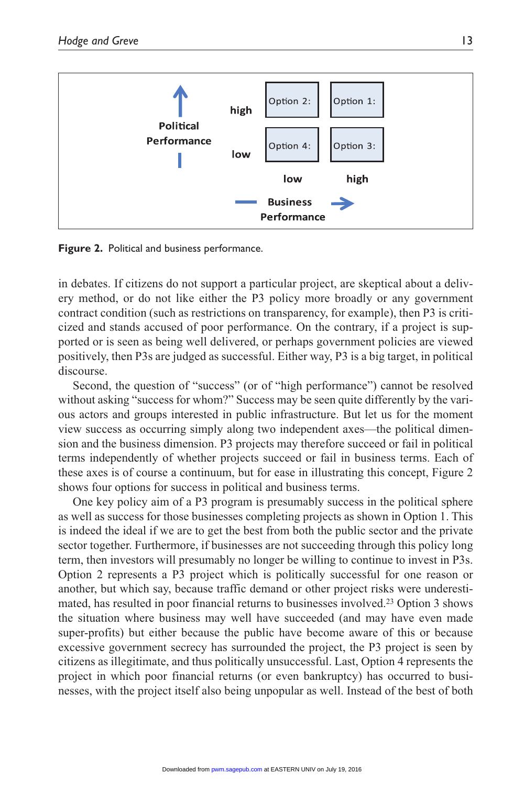

**Figure 2.** Political and business performance.

in debates. If citizens do not support a particular project, are skeptical about a delivery method, or do not like either the P3 policy more broadly or any government contract condition (such as restrictions on transparency, for example), then P3 is criticized and stands accused of poor performance. On the contrary, if a project is supported or is seen as being well delivered, or perhaps government policies are viewed positively, then P3s are judged as successful. Either way, P3 is a big target, in political discourse.

Second, the question of "success" (or of "high performance") cannot be resolved without asking "success for whom?" Success may be seen quite differently by the various actors and groups interested in public infrastructure. But let us for the moment view success as occurring simply along two independent axes—the political dimension and the business dimension. P3 projects may therefore succeed or fail in political terms independently of whether projects succeed or fail in business terms. Each of these axes is of course a continuum, but for ease in illustrating this concept, Figure 2 shows four options for success in political and business terms.

One key policy aim of a P3 program is presumably success in the political sphere as well as success for those businesses completing projects as shown in Option 1. This is indeed the ideal if we are to get the best from both the public sector and the private sector together. Furthermore, if businesses are not succeeding through this policy long term, then investors will presumably no longer be willing to continue to invest in P3s. Option 2 represents a P3 project which is politically successful for one reason or another, but which say, because traffic demand or other project risks were underestimated, has resulted in poor financial returns to businesses involved.23 Option 3 shows the situation where business may well have succeeded (and may have even made super-profits) but either because the public have become aware of this or because excessive government secrecy has surrounded the project, the P3 project is seen by citizens as illegitimate, and thus politically unsuccessful. Last, Option 4 represents the project in which poor financial returns (or even bankruptcy) has occurred to businesses, with the project itself also being unpopular as well. Instead of the best of both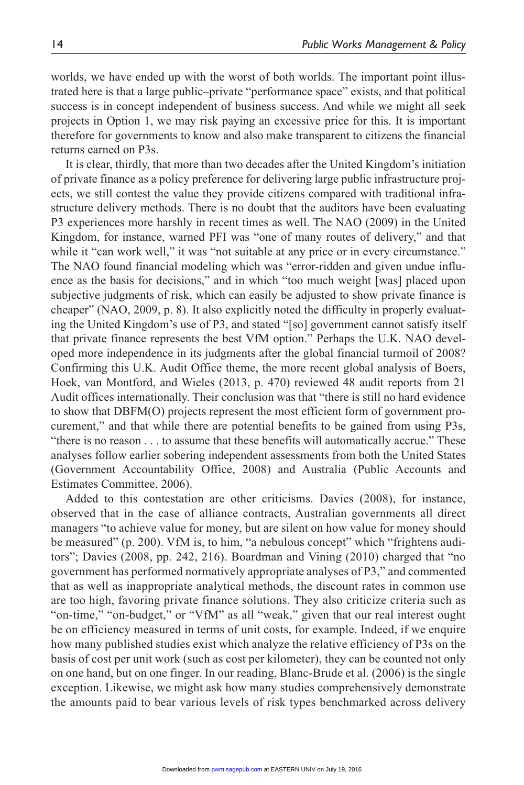worlds, we have ended up with the worst of both worlds. The important point illustrated here is that a large public–private "performance space" exists, and that political success is in concept independent of business success. And while we might all seek projects in Option 1, we may risk paying an excessive price for this. It is important therefore for governments to know and also make transparent to citizens the financial returns earned on P3s.

It is clear, thirdly, that more than two decades after the United Kingdom's initiation of private finance as a policy preference for delivering large public infrastructure projects, we still contest the value they provide citizens compared with traditional infrastructure delivery methods. There is no doubt that the auditors have been evaluating P3 experiences more harshly in recent times as well. The NAO (2009) in the United Kingdom, for instance, warned PFI was "one of many routes of delivery," and that while it "can work well," it was "not suitable at any price or in every circumstance." The NAO found financial modeling which was "error-ridden and given undue influence as the basis for decisions," and in which "too much weight [was] placed upon subjective judgments of risk, which can easily be adjusted to show private finance is cheaper" (NAO, 2009, p. 8). It also explicitly noted the difficulty in properly evaluating the United Kingdom's use of P3, and stated "[so] government cannot satisfy itself that private finance represents the best VfM option." Perhaps the U.K. NAO developed more independence in its judgments after the global financial turmoil of 2008? Confirming this U.K. Audit Office theme, the more recent global analysis of Boers, Hoek, van Montford, and Wieles (2013, p. 470) reviewed 48 audit reports from 21 Audit offices internationally. Their conclusion was that "there is still no hard evidence to show that DBFM(O) projects represent the most efficient form of government procurement," and that while there are potential benefits to be gained from using P3s, "there is no reason . . . to assume that these benefits will automatically accrue." These analyses follow earlier sobering independent assessments from both the United States (Government Accountability Office, 2008) and Australia (Public Accounts and Estimates Committee, 2006).

Added to this contestation are other criticisms. Davies (2008), for instance, observed that in the case of alliance contracts, Australian governments all direct managers "to achieve value for money, but are silent on how value for money should be measured" (p. 200). VfM is, to him, "a nebulous concept" which "frightens auditors"; Davies (2008, pp. 242, 216). Boardman and Vining (2010) charged that "no government has performed normatively appropriate analyses of P3," and commented that as well as inappropriate analytical methods, the discount rates in common use are too high, favoring private finance solutions. They also criticize criteria such as "on-time," "on-budget," or "VfM" as all "weak," given that our real interest ought be on efficiency measured in terms of unit costs, for example. Indeed, if we enquire how many published studies exist which analyze the relative efficiency of P3s on the basis of cost per unit work (such as cost per kilometer), they can be counted not only on one hand, but on one finger. In our reading, Blanc-Brude et al. (2006) is the single exception. Likewise, we might ask how many studies comprehensively demonstrate the amounts paid to bear various levels of risk types benchmarked across delivery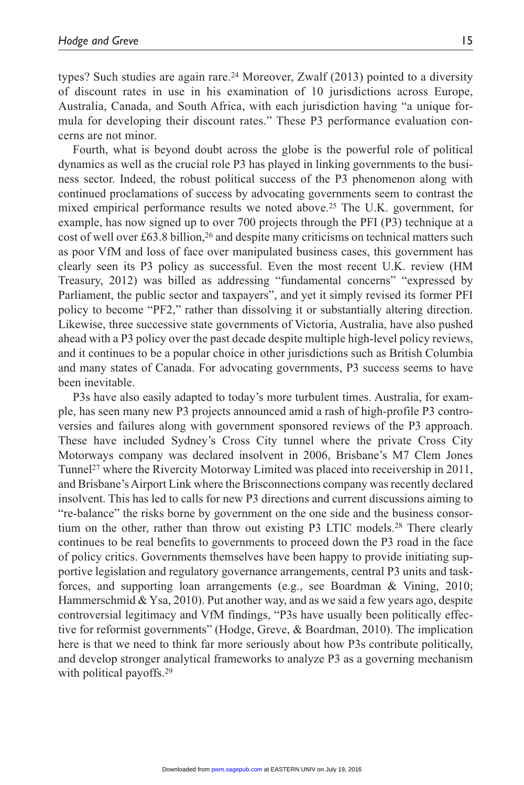types? Such studies are again rare.24 Moreover, Zwalf (2013) pointed to a diversity of discount rates in use in his examination of 10 jurisdictions across Europe, Australia, Canada, and South Africa, with each jurisdiction having "a unique formula for developing their discount rates." These P3 performance evaluation concerns are not minor.

Fourth, what is beyond doubt across the globe is the powerful role of political dynamics as well as the crucial role P3 has played in linking governments to the business sector. Indeed, the robust political success of the P3 phenomenon along with continued proclamations of success by advocating governments seem to contrast the mixed empirical performance results we noted above.25 The U.K. government, for example, has now signed up to over 700 projects through the PFI (P3) technique at a cost of well over £63.8 billion,<sup>26</sup> and despite many criticisms on technical matters such as poor VfM and loss of face over manipulated business cases, this government has clearly seen its P3 policy as successful. Even the most recent U.K. review (HM Treasury, 2012) was billed as addressing "fundamental concerns" "expressed by Parliament, the public sector and taxpayers", and yet it simply revised its former PFI policy to become "PF2," rather than dissolving it or substantially altering direction. Likewise, three successive state governments of Victoria, Australia, have also pushed ahead with a P3 policy over the past decade despite multiple high-level policy reviews, and it continues to be a popular choice in other jurisdictions such as British Columbia and many states of Canada. For advocating governments, P3 success seems to have been inevitable.

P3s have also easily adapted to today's more turbulent times. Australia, for example, has seen many new P3 projects announced amid a rash of high-profile P3 controversies and failures along with government sponsored reviews of the P3 approach. These have included Sydney's Cross City tunnel where the private Cross City Motorways company was declared insolvent in 2006, Brisbane's M7 Clem Jones Tunnel<sup>27</sup> where the Rivercity Motorway Limited was placed into receivership in 2011, and Brisbane's Airport Link where the Brisconnections company was recently declared insolvent. This has led to calls for new P3 directions and current discussions aiming to "re-balance" the risks borne by government on the one side and the business consortium on the other, rather than throw out existing P3 LTIC models.28 There clearly continues to be real benefits to governments to proceed down the P3 road in the face of policy critics. Governments themselves have been happy to provide initiating supportive legislation and regulatory governance arrangements, central P3 units and taskforces, and supporting loan arrangements (e.g., see Boardman & Vining, 2010; Hammerschmid  $& Yasa, 2010$ . Put another way, and as we said a few years ago, despite controversial legitimacy and VfM findings, "P3s have usually been politically effective for reformist governments" (Hodge, Greve, & Boardman, 2010). The implication here is that we need to think far more seriously about how P3s contribute politically, and develop stronger analytical frameworks to analyze P3 as a governing mechanism with political payoffs.<sup>29</sup>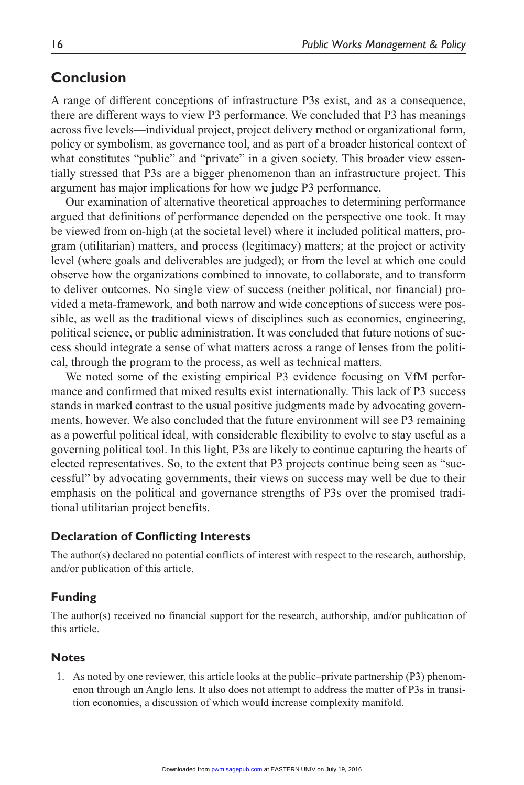## **Conclusion**

A range of different conceptions of infrastructure P3s exist, and as a consequence, there are different ways to view P3 performance. We concluded that P3 has meanings across five levels—individual project, project delivery method or organizational form, policy or symbolism, as governance tool, and as part of a broader historical context of what constitutes "public" and "private" in a given society. This broader view essentially stressed that P3s are a bigger phenomenon than an infrastructure project. This argument has major implications for how we judge P3 performance.

Our examination of alternative theoretical approaches to determining performance argued that definitions of performance depended on the perspective one took. It may be viewed from on-high (at the societal level) where it included political matters, program (utilitarian) matters, and process (legitimacy) matters; at the project or activity level (where goals and deliverables are judged); or from the level at which one could observe how the organizations combined to innovate, to collaborate, and to transform to deliver outcomes. No single view of success (neither political, nor financial) provided a meta-framework, and both narrow and wide conceptions of success were possible, as well as the traditional views of disciplines such as economics, engineering, political science, or public administration. It was concluded that future notions of success should integrate a sense of what matters across a range of lenses from the political, through the program to the process, as well as technical matters.

We noted some of the existing empirical P3 evidence focusing on VfM performance and confirmed that mixed results exist internationally. This lack of P3 success stands in marked contrast to the usual positive judgments made by advocating governments, however. We also concluded that the future environment will see P3 remaining as a powerful political ideal, with considerable flexibility to evolve to stay useful as a governing political tool. In this light, P3s are likely to continue capturing the hearts of elected representatives. So, to the extent that P3 projects continue being seen as "successful" by advocating governments, their views on success may well be due to their emphasis on the political and governance strengths of P3s over the promised traditional utilitarian project benefits.

#### **Declaration of Conflicting Interests**

The author(s) declared no potential conflicts of interest with respect to the research, authorship, and/or publication of this article.

#### **Funding**

The author(s) received no financial support for the research, authorship, and/or publication of this article.

#### **Notes**

1. As noted by one reviewer, this article looks at the public–private partnership (P3) phenomenon through an Anglo lens. It also does not attempt to address the matter of P3s in transition economies, a discussion of which would increase complexity manifold.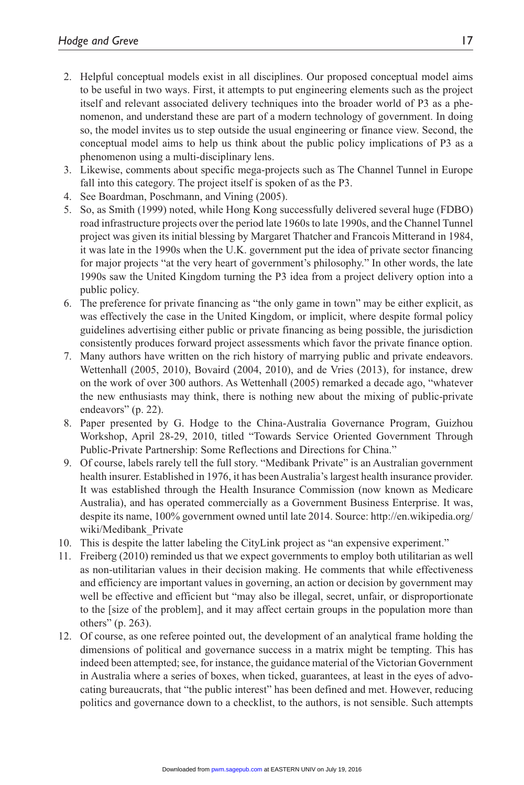- 2. Helpful conceptual models exist in all disciplines. Our proposed conceptual model aims to be useful in two ways. First, it attempts to put engineering elements such as the project itself and relevant associated delivery techniques into the broader world of P3 as a phenomenon, and understand these are part of a modern technology of government. In doing so, the model invites us to step outside the usual engineering or finance view. Second, the conceptual model aims to help us think about the public policy implications of P3 as a phenomenon using a multi-disciplinary lens.
- 3. Likewise, comments about specific mega-projects such as The Channel Tunnel in Europe fall into this category. The project itself is spoken of as the P3.
- 4. See Boardman, Poschmann, and Vining (2005).
- 5. So, as Smith (1999) noted, while Hong Kong successfully delivered several huge (FDBO) road infrastructure projects over the period late 1960s to late 1990s, and the Channel Tunnel project was given its initial blessing by Margaret Thatcher and Francois Mitterand in 1984, it was late in the 1990s when the U.K. government put the idea of private sector financing for major projects "at the very heart of government's philosophy." In other words, the late 1990s saw the United Kingdom turning the P3 idea from a project delivery option into a public policy.
- 6. The preference for private financing as "the only game in town" may be either explicit, as was effectively the case in the United Kingdom, or implicit, where despite formal policy guidelines advertising either public or private financing as being possible, the jurisdiction consistently produces forward project assessments which favor the private finance option.
- 7. Many authors have written on the rich history of marrying public and private endeavors. Wettenhall (2005, 2010), Bovaird (2004, 2010), and de Vries (2013), for instance, drew on the work of over 300 authors. As Wettenhall (2005) remarked a decade ago, "whatever the new enthusiasts may think, there is nothing new about the mixing of public-private endeavors" (p. 22).
- 8. Paper presented by G. Hodge to the China-Australia Governance Program, Guizhou Workshop, April 28-29, 2010, titled "Towards Service Oriented Government Through Public-Private Partnership: Some Reflections and Directions for China."
- 9. Of course, labels rarely tell the full story. "Medibank Private" is an Australian government health insurer. Established in 1976, it has been Australia's largest health insurance provider. It was established through the Health Insurance Commission (now known as Medicare Australia), and has operated commercially as a Government Business Enterprise. It was, despite its name, 100% government owned until late 2014. Source: http://en.wikipedia.org/ wiki/Medibank\_Private
- 10. This is despite the latter labeling the CityLink project as "an expensive experiment."
- 11. Freiberg (2010) reminded us that we expect governments to employ both utilitarian as well as non-utilitarian values in their decision making. He comments that while effectiveness and efficiency are important values in governing, an action or decision by government may well be effective and efficient but "may also be illegal, secret, unfair, or disproportionate to the [size of the problem], and it may affect certain groups in the population more than others" (p. 263).
- 12. Of course, as one referee pointed out, the development of an analytical frame holding the dimensions of political and governance success in a matrix might be tempting. This has indeed been attempted; see, for instance, the guidance material of the Victorian Government in Australia where a series of boxes, when ticked, guarantees, at least in the eyes of advocating bureaucrats, that "the public interest" has been defined and met. However, reducing politics and governance down to a checklist, to the authors, is not sensible. Such attempts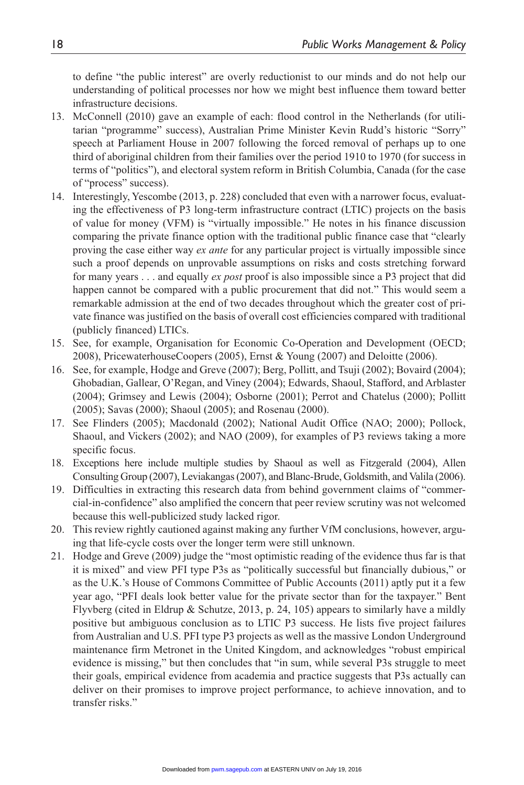to define "the public interest" are overly reductionist to our minds and do not help our understanding of political processes nor how we might best influence them toward better infrastructure decisions.

- 13. McConnell (2010) gave an example of each: flood control in the Netherlands (for utilitarian "programme" success), Australian Prime Minister Kevin Rudd's historic "Sorry" speech at Parliament House in 2007 following the forced removal of perhaps up to one third of aboriginal children from their families over the period 1910 to 1970 (for success in terms of "politics"), and electoral system reform in British Columbia, Canada (for the case of "process" success).
- 14. Interestingly, Yescombe (2013, p. 228) concluded that even with a narrower focus, evaluating the effectiveness of P3 long-term infrastructure contract (LTIC) projects on the basis of value for money (VFM) is "virtually impossible." He notes in his finance discussion comparing the private finance option with the traditional public finance case that "clearly proving the case either way *ex ante* for any particular project is virtually impossible since such a proof depends on unprovable assumptions on risks and costs stretching forward for many years . . . and equally *ex post* proof is also impossible since a P3 project that did happen cannot be compared with a public procurement that did not." This would seem a remarkable admission at the end of two decades throughout which the greater cost of private finance was justified on the basis of overall cost efficiencies compared with traditional (publicly financed) LTICs.
- 15. See, for example, Organisation for Economic Co-Operation and Development (OECD; 2008), PricewaterhouseCoopers (2005), Ernst & Young (2007) and Deloitte (2006).
- 16. See, for example, Hodge and Greve (2007); Berg, Pollitt, and Tsuji (2002); Bovaird (2004); Ghobadian, Gallear, O'Regan, and Viney (2004); Edwards, Shaoul, Stafford, and Arblaster (2004); Grimsey and Lewis (2004); Osborne (2001); Perrot and Chatelus (2000); Pollitt (2005); Savas (2000); Shaoul (2005); and Rosenau (2000).
- 17. See Flinders (2005); Macdonald (2002); National Audit Office (NAO; 2000); Pollock, Shaoul, and Vickers (2002); and NAO (2009), for examples of P3 reviews taking a more specific focus.
- 18. Exceptions here include multiple studies by Shaoul as well as Fitzgerald (2004), Allen Consulting Group (2007), Leviakangas (2007), and Blanc-Brude, Goldsmith, and Valila (2006).
- 19. Difficulties in extracting this research data from behind government claims of "commercial-in-confidence" also amplified the concern that peer review scrutiny was not welcomed because this well-publicized study lacked rigor.
- 20. This review rightly cautioned against making any further VfM conclusions, however, arguing that life-cycle costs over the longer term were still unknown.
- 21. Hodge and Greve (2009) judge the "most optimistic reading of the evidence thus far is that it is mixed" and view PFI type P3s as "politically successful but financially dubious," or as the U.K.'s House of Commons Committee of Public Accounts (2011) aptly put it a few year ago, "PFI deals look better value for the private sector than for the taxpayer." Bent Flyvberg (cited in Eldrup & Schutze, 2013, p. 24, 105) appears to similarly have a mildly positive but ambiguous conclusion as to LTIC P3 success. He lists five project failures from Australian and U.S. PFI type P3 projects as well as the massive London Underground maintenance firm Metronet in the United Kingdom, and acknowledges "robust empirical evidence is missing," but then concludes that "in sum, while several P3s struggle to meet their goals, empirical evidence from academia and practice suggests that P3s actually can deliver on their promises to improve project performance, to achieve innovation, and to transfer risks."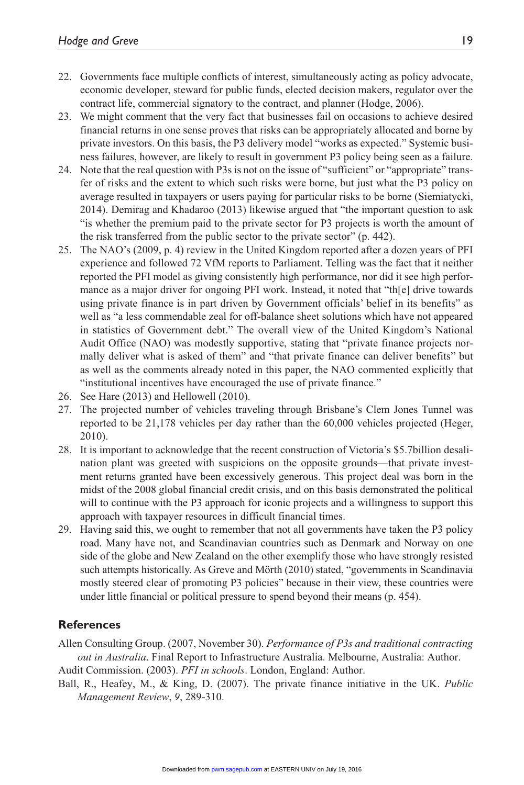- 22. Governments face multiple conflicts of interest, simultaneously acting as policy advocate, economic developer, steward for public funds, elected decision makers, regulator over the contract life, commercial signatory to the contract, and planner (Hodge, 2006).
- 23. We might comment that the very fact that businesses fail on occasions to achieve desired financial returns in one sense proves that risks can be appropriately allocated and borne by private investors. On this basis, the P3 delivery model "works as expected." Systemic business failures, however, are likely to result in government P3 policy being seen as a failure.
- 24. Note that the real question with P3s is not on the issue of "sufficient" or "appropriate" transfer of risks and the extent to which such risks were borne, but just what the P3 policy on average resulted in taxpayers or users paying for particular risks to be borne (Siemiatycki, 2014). Demirag and Khadaroo (2013) likewise argued that "the important question to ask "is whether the premium paid to the private sector for P3 projects is worth the amount of the risk transferred from the public sector to the private sector" (p. 442).
- 25. The NAO's (2009, p. 4) review in the United Kingdom reported after a dozen years of PFI experience and followed 72 VfM reports to Parliament. Telling was the fact that it neither reported the PFI model as giving consistently high performance, nor did it see high performance as a major driver for ongoing PFI work. Instead, it noted that "th[e] drive towards using private finance is in part driven by Government officials' belief in its benefits" as well as "a less commendable zeal for off-balance sheet solutions which have not appeared in statistics of Government debt." The overall view of the United Kingdom's National Audit Office (NAO) was modestly supportive, stating that "private finance projects normally deliver what is asked of them" and "that private finance can deliver benefits" but as well as the comments already noted in this paper, the NAO commented explicitly that "institutional incentives have encouraged the use of private finance."
- 26. See Hare (2013) and Hellowell (2010).
- 27. The projected number of vehicles traveling through Brisbane's Clem Jones Tunnel was reported to be 21,178 vehicles per day rather than the 60,000 vehicles projected (Heger, 2010).
- 28. It is important to acknowledge that the recent construction of Victoria's \$5.7billion desalination plant was greeted with suspicions on the opposite grounds—that private investment returns granted have been excessively generous. This project deal was born in the midst of the 2008 global financial credit crisis, and on this basis demonstrated the political will to continue with the P3 approach for iconic projects and a willingness to support this approach with taxpayer resources in difficult financial times.
- 29. Having said this, we ought to remember that not all governments have taken the P3 policy road. Many have not, and Scandinavian countries such as Denmark and Norway on one side of the globe and New Zealand on the other exemplify those who have strongly resisted such attempts historically. As Greve and Mörth (2010) stated, "governments in Scandinavia mostly steered clear of promoting P3 policies" because in their view, these countries were under little financial or political pressure to spend beyond their means (p. 454).

## **References**

- Allen Consulting Group. (2007, November 30). *Performance of P3s and traditional contracting out in Australia*. Final Report to Infrastructure Australia. Melbourne, Australia: Author.
- Audit Commission. (2003). *PFI in schools*. London, England: Author.
- Ball, R., Heafey, M., & King, D. (2007). The private finance initiative in the UK. *Public Management Review*, *9*, 289-310.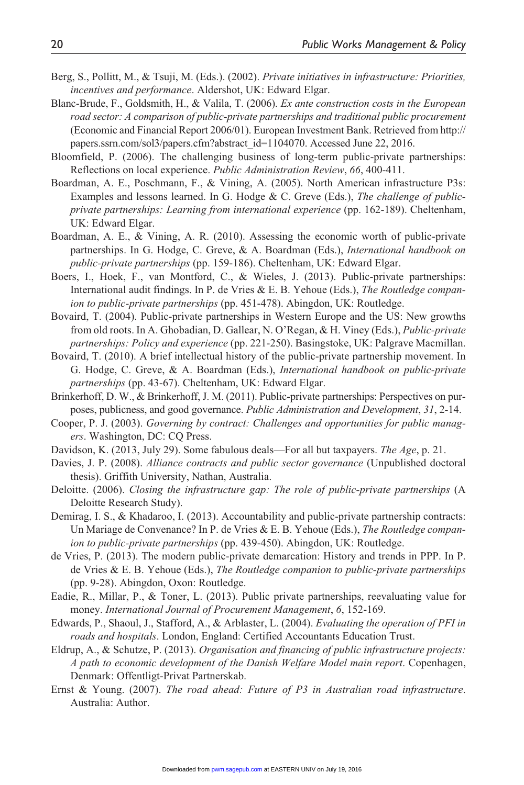- Berg, S., Pollitt, M., & Tsuji, M. (Eds.). (2002). *Private initiatives in infrastructure: Priorities, incentives and performance*. Aldershot, UK: Edward Elgar.
- Blanc-Brude, F., Goldsmith, H., & Valila, T. (2006). *Ex ante construction costs in the European road sector: A comparison of public-private partnerships and traditional public procurement* (Economic and Financial Report 2006/01). European Investment Bank. Retrieved from http:// papers.ssrn.com/sol3/papers.cfm?abstract\_id=1104070. Accessed June 22, 2016.
- Bloomfield, P. (2006). The challenging business of long-term public-private partnerships: Reflections on local experience. *Public Administration Review*, *66*, 400-411.
- Boardman, A. E., Poschmann, F., & Vining, A. (2005). North American infrastructure P3s: Examples and lessons learned. In G. Hodge & C. Greve (Eds.), *The challenge of publicprivate partnerships: Learning from international experience* (pp. 162-189). Cheltenham, UK: Edward Elgar.
- Boardman, A. E., & Vining, A. R. (2010). Assessing the economic worth of public-private partnerships. In G. Hodge, C. Greve, & A. Boardman (Eds.), *International handbook on public-private partnerships* (pp. 159-186). Cheltenham, UK: Edward Elgar.
- Boers, I., Hoek, F., van Montford, C., & Wieles, J. (2013). Public-private partnerships: International audit findings. In P. de Vries & E. B. Yehoue (Eds.), *The Routledge companion to public-private partnerships* (pp. 451-478). Abingdon, UK: Routledge.
- Bovaird, T. (2004). Public-private partnerships in Western Europe and the US: New growths from old roots. In A. Ghobadian, D. Gallear, N. O'Regan, & H. Viney (Eds.), *Public-private partnerships: Policy and experience* (pp. 221-250). Basingstoke, UK: Palgrave Macmillan.
- Bovaird, T. (2010). A brief intellectual history of the public-private partnership movement. In G. Hodge, C. Greve, & A. Boardman (Eds.), *International handbook on public-private partnerships* (pp. 43-67). Cheltenham, UK: Edward Elgar.
- Brinkerhoff, D. W., & Brinkerhoff, J. M. (2011). Public-private partnerships: Perspectives on purposes, publicness, and good governance. *Public Administration and Development*, *31*, 2-14.
- Cooper, P. J. (2003). *Governing by contract: Challenges and opportunities for public managers*. Washington, DC: CQ Press.
- Davidson, K. (2013, July 29). Some fabulous deals—For all but taxpayers. *The Age*, p. 21.
- Davies, J. P. (2008). *Alliance contracts and public sector governance* (Unpublished doctoral thesis). Griffith University, Nathan, Australia.
- Deloitte. (2006). *Closing the infrastructure gap: The role of public-private partnerships* (A Deloitte Research Study).
- Demirag, I. S., & Khadaroo, I. (2013). Accountability and public-private partnership contracts: Un Mariage de Convenance? In P. de Vries & E. B. Yehoue (Eds.), *The Routledge companion to public-private partnerships* (pp. 439-450). Abingdon, UK: Routledge.
- de Vries, P. (2013). The modern public-private demarcation: History and trends in PPP. In P. de Vries & E. B. Yehoue (Eds.), *The Routledge companion to public-private partnerships* (pp. 9-28). Abingdon, Oxon: Routledge.
- Eadie, R., Millar, P., & Toner, L. (2013). Public private partnerships, reevaluating value for money. *International Journal of Procurement Management*, *6*, 152-169.
- Edwards, P., Shaoul, J., Stafford, A., & Arblaster, L. (2004). *Evaluating the operation of PFI in roads and hospitals*. London, England: Certified Accountants Education Trust.
- Eldrup, A., & Schutze, P. (2013). *Organisation and financing of public infrastructure projects: A path to economic development of the Danish Welfare Model main report*. Copenhagen, Denmark: Offentligt-Privat Partnerskab.
- Ernst & Young. (2007). *The road ahead: Future of P3 in Australian road infrastructure*. Australia: Author.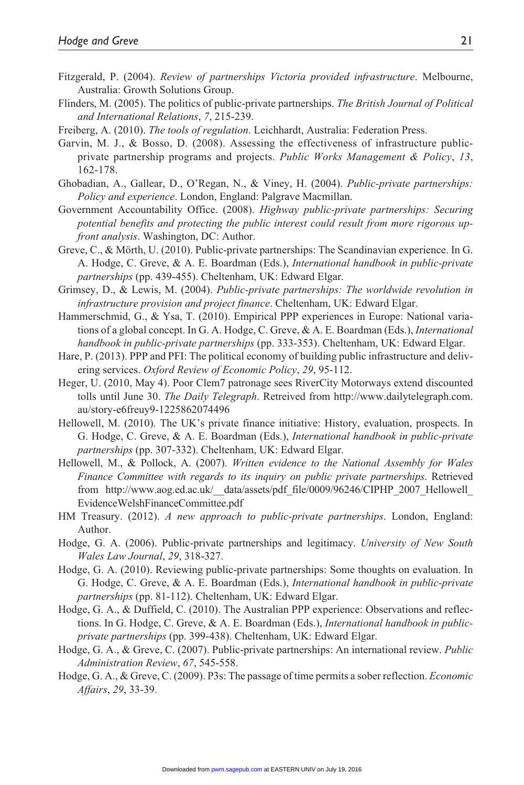- Fitzgerald, P. (2004). *Review of partnerships Victoria provided infrastructure*. Melbourne, Australia: Growth Solutions Group.
- Flinders, M. (2005). The politics of public-private partnerships. *The British Journal of Political and International Relations*, *7*, 215-239.
- Freiberg, A. (2010). *The tools of regulation*. Leichhardt, Australia: Federation Press.
- Garvin, M. J., & Bosso, D. (2008). Assessing the effectiveness of infrastructure publicprivate partnership programs and projects. *Public Works Management & Policy*, *13*, 162-178.
- Ghobadian, A., Gallear, D., O'Regan, N., & Viney, H. (2004). *Public-private partnerships: Policy and experience*. London, England: Palgrave Macmillan.
- Government Accountability Office. (2008). *Highway public-private partnerships: Securing potential benefits and protecting the public interest could result from more rigorous upfront analysis*. Washington, DC: Author.
- Greve, C., & Mörth, U. (2010). Public-private partnerships: The Scandinavian experience. In G. A. Hodge, C. Greve, & A. E. Boardman (Eds.), *International handbook in public-private partnerships* (pp. 439-455). Cheltenham, UK: Edward Elgar.
- Grimsey, D., & Lewis, M. (2004). *Public-private partnerships: The worldwide revolution in infrastructure provision and project finance*. Cheltenham, UK: Edward Elgar.
- Hammerschmid, G., & Ysa, T. (2010). Empirical PPP experiences in Europe: National variations of a global concept. In G. A. Hodge, C. Greve, & A. E. Boardman (Eds.), *International handbook in public-private partnerships* (pp. 333-353). Cheltenham, UK: Edward Elgar.
- Hare, P. (2013). PPP and PFI: The political economy of building public infrastructure and delivering services. *Oxford Review of Economic Policy*, *29*, 95-112.
- Heger, U. (2010, May 4). Poor Clem7 patronage sees RiverCity Motorways extend discounted tolls until June 30. *The Daily Telegraph*. Retreived from http://www.dailytelegraph.com. au/story-e6freuy9-1225862074496
- Hellowell, M. (2010). The UK's private finance initiative: History, evaluation, prospects. In G. Hodge, C. Greve, & A. E. Boardman (Eds.), *International handbook in public-private partnerships* (pp. 307-332). Cheltenham, UK: Edward Elgar.
- Hellowell, M., & Pollock, A. (2007). *Written evidence to the National Assembly for Wales Finance Committee with regards to its inquiry on public private partnerships*. Retrieved from http://www.aog.ed.ac.uk/\_\_data/assets/pdf\_file/0009/96246/CIPHP\_2007\_Hellowell\_ EvidenceWelshFinanceCommittee.pdf
- HM Treasury. (2012). *A new approach to public-private partnerships*. London, England: Author.
- Hodge, G. A. (2006). Public-private partnerships and legitimacy. *University of New South Wales Law Journal*, *29*, 318-327.
- Hodge, G. A. (2010). Reviewing public-private partnerships: Some thoughts on evaluation. In G. Hodge, C. Greve, & A. E. Boardman (Eds.), *International handbook in public-private partnerships* (pp. 81-112). Cheltenham, UK: Edward Elgar.
- Hodge, G. A., & Duffield, C. (2010). The Australian PPP experience: Observations and reflections. In G. Hodge, C. Greve, & A. E. Boardman (Eds.), *International handbook in publicprivate partnerships* (pp. 399-438). Cheltenham, UK: Edward Elgar.
- Hodge, G. A., & Greve, C. (2007). Public-private partnerships: An international review. *Public Administration Review*, *67*, 545-558.
- Hodge, G. A., & Greve, C. (2009). P3s: The passage of time permits a sober reflection. *Economic Affairs*, *29*, 33-39.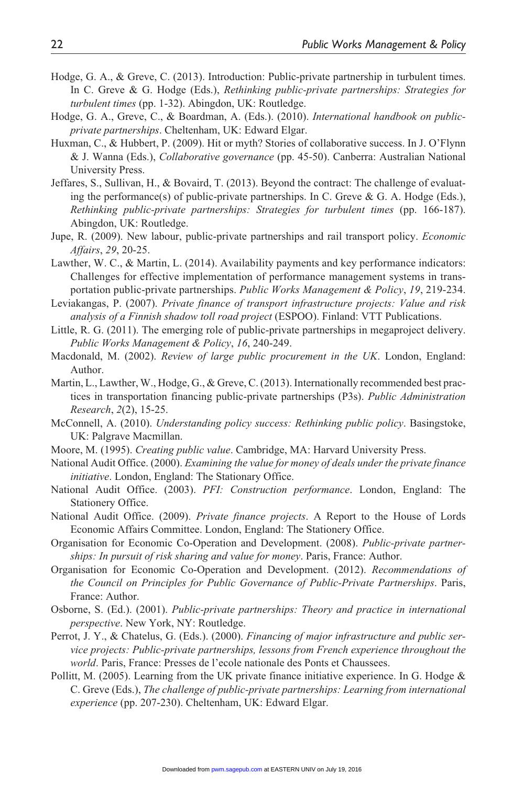- Hodge, G. A., & Greve, C. (2013). Introduction: Public-private partnership in turbulent times. In C. Greve & G. Hodge (Eds.), *Rethinking public-private partnerships: Strategies for turbulent times* (pp. 1-32). Abingdon, UK: Routledge.
- Hodge, G. A., Greve, C., & Boardman, A. (Eds.). (2010). *International handbook on publicprivate partnerships*. Cheltenham, UK: Edward Elgar.
- Huxman, C., & Hubbert, P. (2009). Hit or myth? Stories of collaborative success. In J. O'Flynn & J. Wanna (Eds.), *Collaborative governance* (pp. 45-50). Canberra: Australian National University Press.
- Jeffares, S., Sullivan, H., & Bovaird, T. (2013). Beyond the contract: The challenge of evaluating the performance(s) of public-private partnerships. In C. Greve & G. A. Hodge (Eds.), *Rethinking public-private partnerships: Strategies for turbulent times* (pp. 166-187). Abingdon, UK: Routledge.
- Jupe, R. (2009). New labour, public-private partnerships and rail transport policy. *Economic Affairs*, *29*, 20-25.
- Lawther, W. C., & Martin, L. (2014). Availability payments and key performance indicators: Challenges for effective implementation of performance management systems in transportation public-private partnerships. *Public Works Management & Policy*, *19*, 219-234.
- Leviakangas, P. (2007). *Private finance of transport infrastructure projects: Value and risk analysis of a Finnish shadow toll road project* (ESPOO). Finland: VTT Publications.
- Little, R. G. (2011). The emerging role of public-private partnerships in megaproject delivery. *Public Works Management & Policy*, *16*, 240-249.
- Macdonald, M. (2002). *Review of large public procurement in the UK*. London, England: Author.
- Martin, L., Lawther, W., Hodge, G., & Greve, C. (2013). Internationally recommended best practices in transportation financing public-private partnerships (P3s). *Public Administration Research*, *2*(2), 15-25.
- McConnell, A. (2010). *Understanding policy success: Rethinking public policy*. Basingstoke, UK: Palgrave Macmillan.
- Moore, M. (1995). *Creating public value*. Cambridge, MA: Harvard University Press.
- National Audit Office. (2000). *Examining the value for money of deals under the private finance initiative*. London, England: The Stationary Office.
- National Audit Office. (2003). *PFI: Construction performance*. London, England: The Stationery Office.
- National Audit Office. (2009). *Private finance projects*. A Report to the House of Lords Economic Affairs Committee. London, England: The Stationery Office.
- Organisation for Economic Co-Operation and Development. (2008). *Public-private partnerships: In pursuit of risk sharing and value for money*. Paris, France: Author.
- Organisation for Economic Co-Operation and Development. (2012). *Recommendations of the Council on Principles for Public Governance of Public-Private Partnerships*. Paris, France: Author.
- Osborne, S. (Ed.). (2001). *Public-private partnerships: Theory and practice in international perspective*. New York, NY: Routledge.
- Perrot, J. Y., & Chatelus, G. (Eds.). (2000). *Financing of major infrastructure and public service projects: Public-private partnerships, lessons from French experience throughout the world*. Paris, France: Presses de l'ecole nationale des Ponts et Chaussees.
- Pollitt, M. (2005). Learning from the UK private finance initiative experience. In G. Hodge & C. Greve (Eds.), *The challenge of public-private partnerships: Learning from international experience* (pp. 207-230). Cheltenham, UK: Edward Elgar.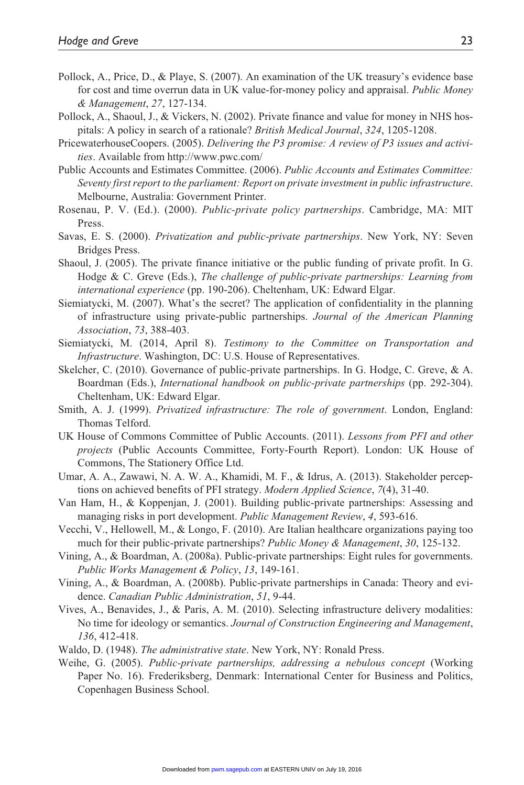- Pollock, A., Price, D., & Playe, S. (2007). An examination of the UK treasury's evidence base for cost and time overrun data in UK value-for-money policy and appraisal. *Public Money & Management*, *27*, 127-134.
- Pollock, A., Shaoul, J., & Vickers, N. (2002). Private finance and value for money in NHS hospitals: A policy in search of a rationale? *British Medical Journal*, *324*, 1205-1208.
- PricewaterhouseCoopers. (2005). *Delivering the P3 promise: A review of P3 issues and activities*. Available from http://www.pwc.com/
- Public Accounts and Estimates Committee. (2006). *Public Accounts and Estimates Committee: Seventy first report to the parliament: Report on private investment in public infrastructure*. Melbourne, Australia: Government Printer.
- Rosenau, P. V. (Ed.). (2000). *Public-private policy partnerships*. Cambridge, MA: MIT Press.
- Savas, E. S. (2000). *Privatization and public-private partnerships*. New York, NY: Seven Bridges Press.
- Shaoul, J. (2005). The private finance initiative or the public funding of private profit. In G. Hodge & C. Greve (Eds.), *The challenge of public-private partnerships: Learning from international experience* (pp. 190-206). Cheltenham, UK: Edward Elgar.
- Siemiatycki, M. (2007). What's the secret? The application of confidentiality in the planning of infrastructure using private-public partnerships. *Journal of the American Planning Association*, *73*, 388-403.
- Siemiatycki, M. (2014, April 8). *Testimony to the Committee on Transportation and Infrastructure*. Washington, DC: U.S. House of Representatives.
- Skelcher, C. (2010). Governance of public-private partnerships. In G. Hodge, C. Greve, & A. Boardman (Eds.), *International handbook on public-private partnerships* (pp. 292-304). Cheltenham, UK: Edward Elgar.
- Smith, A. J. (1999). *Privatized infrastructure: The role of government*. London, England: Thomas Telford.
- UK House of Commons Committee of Public Accounts. (2011). *Lessons from PFI and other projects* (Public Accounts Committee, Forty-Fourth Report). London: UK House of Commons, The Stationery Office Ltd.
- Umar, A. A., Zawawi, N. A. W. A., Khamidi, M. F., & Idrus, A. (2013). Stakeholder perceptions on achieved benefits of PFI strategy. *Modern Applied Science*, *7*(4), 31-40.
- Van Ham, H., & Koppenjan, J. (2001). Building public-private partnerships: Assessing and managing risks in port development. *Public Management Review*, *4*, 593-616.
- Vecchi, V., Hellowell, M., & Longo, F. (2010). Are Italian healthcare organizations paying too much for their public-private partnerships? *Public Money & Management*, *30*, 125-132.
- Vining, A., & Boardman, A. (2008a). Public-private partnerships: Eight rules for governments. *Public Works Management & Policy*, *13*, 149-161.
- Vining, A., & Boardman, A. (2008b). Public-private partnerships in Canada: Theory and evidence. *Canadian Public Administration*, *51*, 9-44.
- Vives, A., Benavides, J., & Paris, A. M. (2010). Selecting infrastructure delivery modalities: No time for ideology or semantics. *Journal of Construction Engineering and Management*, *136*, 412-418.
- Waldo, D. (1948). *The administrative state*. New York, NY: Ronald Press.
- Weihe, G. (2005). *Public-private partnerships, addressing a nebulous concept* (Working Paper No. 16). Frederiksberg, Denmark: International Center for Business and Politics, Copenhagen Business School.